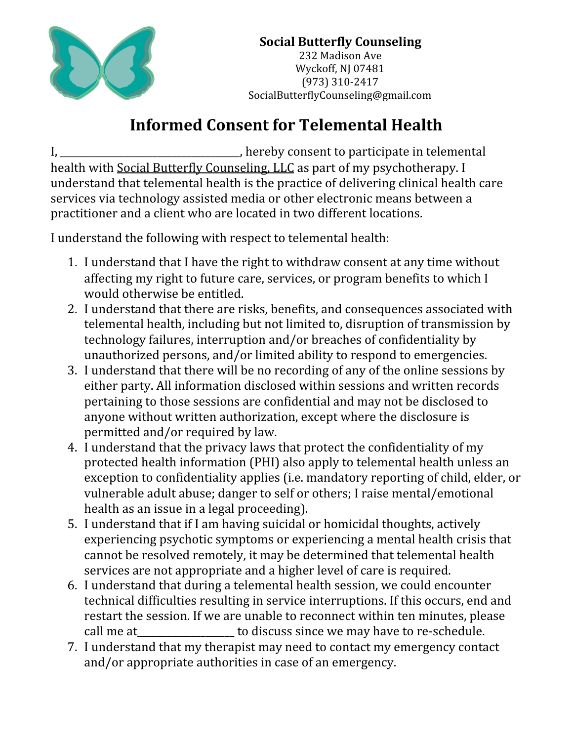

## **Informed Consent for Telemental Health**

I, \_\_\_\_\_\_\_\_\_\_\_\_\_\_\_\_\_\_\_\_\_\_\_\_\_\_\_, hereby consent to participate in telemental health with Social Butterfly Counseling, LLC as part of my psychotherapy. I understand that telemental health is the practice of delivering clinical health care services via technology assisted media or other electronic means between a practitioner and a client who are located in two different locations.

I understand the following with respect to telemental health:

- 1. I understand that I have the right to withdraw consent at any time without affecting my right to future care, services, or program benefits to which I would otherwise be entitled.
- 2. I understand that there are risks, benefits, and consequences associated with telemental health, including but not limited to, disruption of transmission by technology failures, interruption and/or breaches of confidentiality by unauthorized persons, and/or limited ability to respond to emergencies.
- 3. I understand that there will be no recording of any of the online sessions by either party. All information disclosed within sessions and written records pertaining to those sessions are confidential and may not be disclosed to anyone without written authorization, except where the disclosure is permitted and/or required by law.
- 4. I understand that the privacy laws that protect the confidentiality of my protected health information (PHI) also apply to telemental health unless an exception to confidentiality applies (i.e. mandatory reporting of child, elder, or vulnerable adult abuse; danger to self or others; I raise mental/emotional health as an issue in a legal proceeding).
- 5. I understand that if I am having suicidal or homicidal thoughts, actively experiencing psychotic symptoms or experiencing a mental health crisis that cannot be resolved remotely, it may be determined that telemental health services are not appropriate and a higher level of care is required.
- 6. I understand that during a telemental health session, we could encounter technical difficulties resulting in service interruptions. If this occurs, end and restart the session. If we are unable to reconnect within ten minutes, please call me at \_\_\_\_\_\_\_\_\_\_\_\_\_\_\_\_\_\_\_\_ to discuss since we may have to re-schedule.
- 7. I understand that my therapist may need to contact my emergency contact and/or appropriate authorities in case of an emergency.